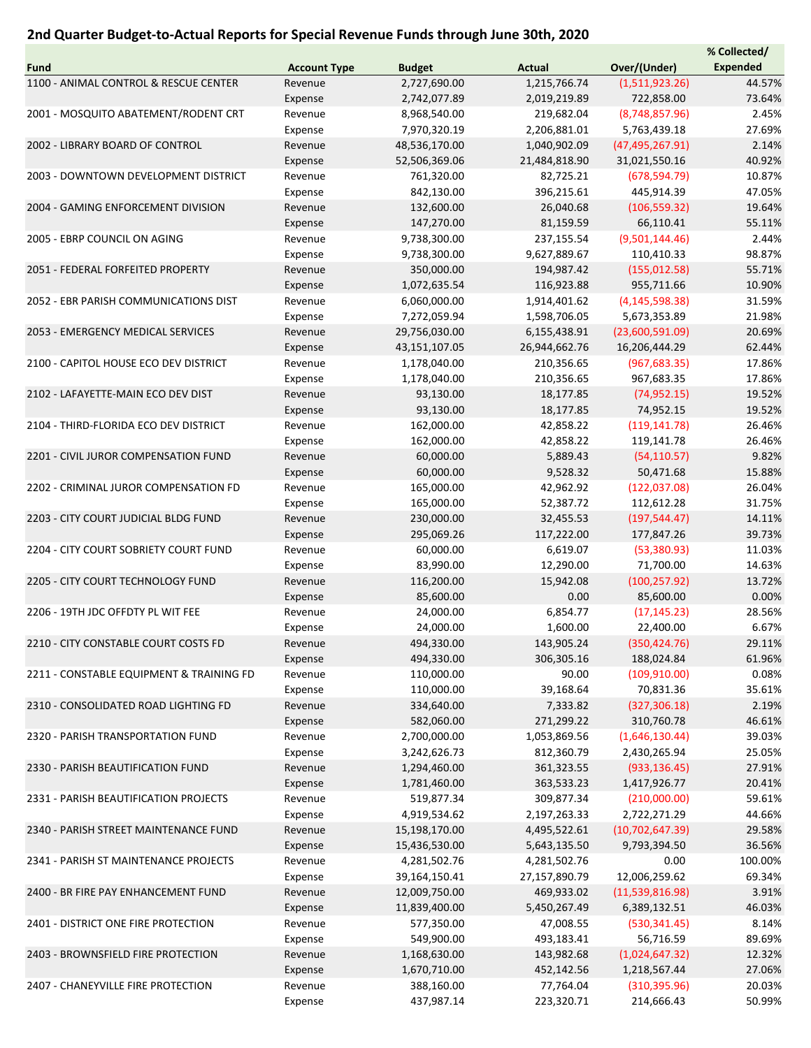## 2nd Quarter Budget-to-Actual Reports for Special Revenue Funds through June 30th, 2020

|                                          |                     |               |               |                   | % Collected/    |
|------------------------------------------|---------------------|---------------|---------------|-------------------|-----------------|
| <b>Fund</b>                              | <b>Account Type</b> | <b>Budget</b> | <b>Actual</b> | Over/(Under)      | <b>Expended</b> |
| 1100 - ANIMAL CONTROL & RESCUE CENTER    | Revenue             | 2,727,690.00  | 1,215,766.74  | (1,511,923.26)    | 44.57%          |
|                                          | Expense             | 2,742,077.89  | 2,019,219.89  | 722,858.00        | 73.64%          |
| 2001 - MOSQUITO ABATEMENT/RODENT CRT     | Revenue             | 8,968,540.00  | 219,682.04    | (8,748,857.96)    | 2.45%           |
|                                          | Expense             | 7,970,320.19  | 2,206,881.01  | 5,763,439.18      | 27.69%          |
| 2002 - LIBRARY BOARD OF CONTROL          | Revenue             | 48,536,170.00 | 1,040,902.09  | (47, 495, 267.91) | 2.14%           |
|                                          |                     | 52,506,369.06 | 21,484,818.90 | 31,021,550.16     | 40.92%          |
|                                          | Expense             |               |               |                   |                 |
| 2003 - DOWNTOWN DEVELOPMENT DISTRICT     | Revenue             | 761,320.00    | 82,725.21     | (678, 594.79)     | 10.87%          |
|                                          | Expense             | 842,130.00    | 396,215.61    | 445,914.39        | 47.05%          |
| 2004 - GAMING ENFORCEMENT DIVISION       | Revenue             | 132,600.00    | 26,040.68     | (106, 559.32)     | 19.64%          |
|                                          | Expense             | 147,270.00    | 81,159.59     | 66,110.41         | 55.11%          |
| 2005 - EBRP COUNCIL ON AGING             | Revenue             | 9,738,300.00  | 237,155.54    | (9,501,144.46)    | 2.44%           |
|                                          | Expense             | 9,738,300.00  | 9,627,889.67  | 110,410.33        | 98.87%          |
| 2051 - FEDERAL FORFEITED PROPERTY        | Revenue             | 350,000.00    | 194,987.42    | (155, 012.58)     | 55.71%          |
|                                          | Expense             | 1,072,635.54  | 116,923.88    | 955,711.66        | 10.90%          |
| 2052 - EBR PARISH COMMUNICATIONS DIST    | Revenue             | 6,060,000.00  | 1,914,401.62  | (4, 145, 598.38)  | 31.59%          |
|                                          | Expense             | 7,272,059.94  | 1,598,706.05  | 5,673,353.89      | 21.98%          |
| 2053 - EMERGENCY MEDICAL SERVICES        | Revenue             | 29,756,030.00 | 6,155,438.91  | (23,600,591.09)   | 20.69%          |
|                                          | Expense             | 43,151,107.05 | 26,944,662.76 | 16,206,444.29     | 62.44%          |
| 2100 - CAPITOL HOUSE ECO DEV DISTRICT    | Revenue             | 1,178,040.00  | 210,356.65    | (967, 683.35)     | 17.86%          |
|                                          |                     |               |               |                   |                 |
|                                          | Expense             | 1,178,040.00  | 210,356.65    | 967,683.35        | 17.86%          |
| 2102 - LAFAYETTE-MAIN ECO DEV DIST       | Revenue             | 93,130.00     | 18,177.85     | (74, 952.15)      | 19.52%          |
|                                          | Expense             | 93,130.00     | 18,177.85     | 74,952.15         | 19.52%          |
| 2104 - THIRD-FLORIDA ECO DEV DISTRICT    | Revenue             | 162,000.00    | 42,858.22     | (119, 141.78)     | 26.46%          |
|                                          | Expense             | 162,000.00    | 42,858.22     | 119,141.78        | 26.46%          |
| 2201 - CIVIL JUROR COMPENSATION FUND     | Revenue             | 60,000.00     | 5,889.43      | (54, 110.57)      | 9.82%           |
|                                          | Expense             | 60,000.00     | 9,528.32      | 50,471.68         | 15.88%          |
| 2202 - CRIMINAL JUROR COMPENSATION FD    | Revenue             | 165,000.00    | 42,962.92     | (122, 037.08)     | 26.04%          |
|                                          | Expense             | 165,000.00    | 52,387.72     | 112,612.28        | 31.75%          |
| 2203 - CITY COURT JUDICIAL BLDG FUND     | Revenue             | 230,000.00    | 32,455.53     | (197, 544.47)     | 14.11%          |
|                                          | Expense             | 295,069.26    | 117,222.00    | 177,847.26        | 39.73%          |
| 2204 - CITY COURT SOBRIETY COURT FUND    | Revenue             | 60,000.00     | 6,619.07      | (53,380.93)       | 11.03%          |
|                                          |                     | 83,990.00     | 12,290.00     | 71,700.00         | 14.63%          |
|                                          | Expense             |               |               |                   |                 |
| 2205 - CITY COURT TECHNOLOGY FUND        | Revenue             | 116,200.00    | 15,942.08     | (100, 257.92)     | 13.72%          |
|                                          | Expense             | 85,600.00     | 0.00          | 85,600.00         | 0.00%           |
| 2206 - 19TH JDC OFFDTY PL WIT FEE        | Revenue             | 24,000.00     | 6,854.77      | (17, 145.23)      | 28.56%          |
|                                          | Expense             | 24,000.00     | 1,600.00      | 22,400.00         | 6.67%           |
| 2210 - CITY CONSTABLE COURT COSTS FD     | Revenue             | 494,330.00    | 143,905.24    | (350, 424.76)     | 29.11%          |
|                                          | Expense             | 494,330.00    | 306,305.16    | 188,024.84        | 61.96%          |
| 2211 - CONSTABLE EQUIPMENT & TRAINING FD | Revenue             | 110,000.00    | 90.00         | (109, 910.00)     | 0.08%           |
|                                          | Expense             | 110,000.00    | 39,168.64     | 70,831.36         | 35.61%          |
| 2310 - CONSOLIDATED ROAD LIGHTING FD     | Revenue             | 334,640.00    | 7,333.82      | (327, 306.18)     | 2.19%           |
|                                          | Expense             | 582,060.00    | 271,299.22    | 310,760.78        | 46.61%          |
| 2320 - PARISH TRANSPORTATION FUND        | Revenue             | 2,700,000.00  | 1,053,869.56  | (1,646,130.44)    | 39.03%          |
|                                          | Expense             | 3,242,626.73  | 812,360.79    | 2,430,265.94      | 25.05%          |
| 2330 - PARISH BEAUTIFICATION FUND        | Revenue             | 1,294,460.00  | 361,323.55    | (933, 136.45)     | 27.91%          |
|                                          |                     |               |               |                   | 20.41%          |
|                                          | Expense             | 1,781,460.00  | 363,533.23    | 1,417,926.77      |                 |
| 2331 - PARISH BEAUTIFICATION PROJECTS    | Revenue             | 519,877.34    | 309,877.34    | (210,000.00)      | 59.61%          |
|                                          | Expense             | 4,919,534.62  | 2,197,263.33  | 2,722,271.29      | 44.66%          |
| 2340 - PARISH STREET MAINTENANCE FUND    | Revenue             | 15,198,170.00 | 4,495,522.61  | (10,702,647.39)   | 29.58%          |
|                                          | Expense             | 15,436,530.00 | 5,643,135.50  | 9,793,394.50      | 36.56%          |
| 2341 - PARISH ST MAINTENANCE PROJECTS    | Revenue             | 4,281,502.76  | 4,281,502.76  | 0.00              | 100.00%         |
|                                          | Expense             | 39,164,150.41 | 27,157,890.79 | 12,006,259.62     | 69.34%          |
| 2400 - BR FIRE PAY ENHANCEMENT FUND      | Revenue             | 12,009,750.00 | 469,933.02    | (11,539,816.98)   | 3.91%           |
|                                          | Expense             | 11,839,400.00 | 5,450,267.49  | 6,389,132.51      | 46.03%          |
| 2401 - DISTRICT ONE FIRE PROTECTION      | Revenue             | 577,350.00    | 47,008.55     | (530, 341.45)     | 8.14%           |
|                                          | Expense             | 549,900.00    | 493,183.41    | 56,716.59         | 89.69%          |
| 2403 - BROWNSFIELD FIRE PROTECTION       | Revenue             | 1,168,630.00  | 143,982.68    | (1,024,647.32)    | 12.32%          |
|                                          | Expense             | 1,670,710.00  | 452,142.56    | 1,218,567.44      | 27.06%          |
| 2407 - CHANEYVILLE FIRE PROTECTION       | Revenue             | 388,160.00    | 77,764.04     | (310, 395.96)     | 20.03%          |
|                                          |                     |               |               |                   |                 |
|                                          | Expense             | 437,987.14    | 223,320.71    | 214,666.43        | 50.99%          |